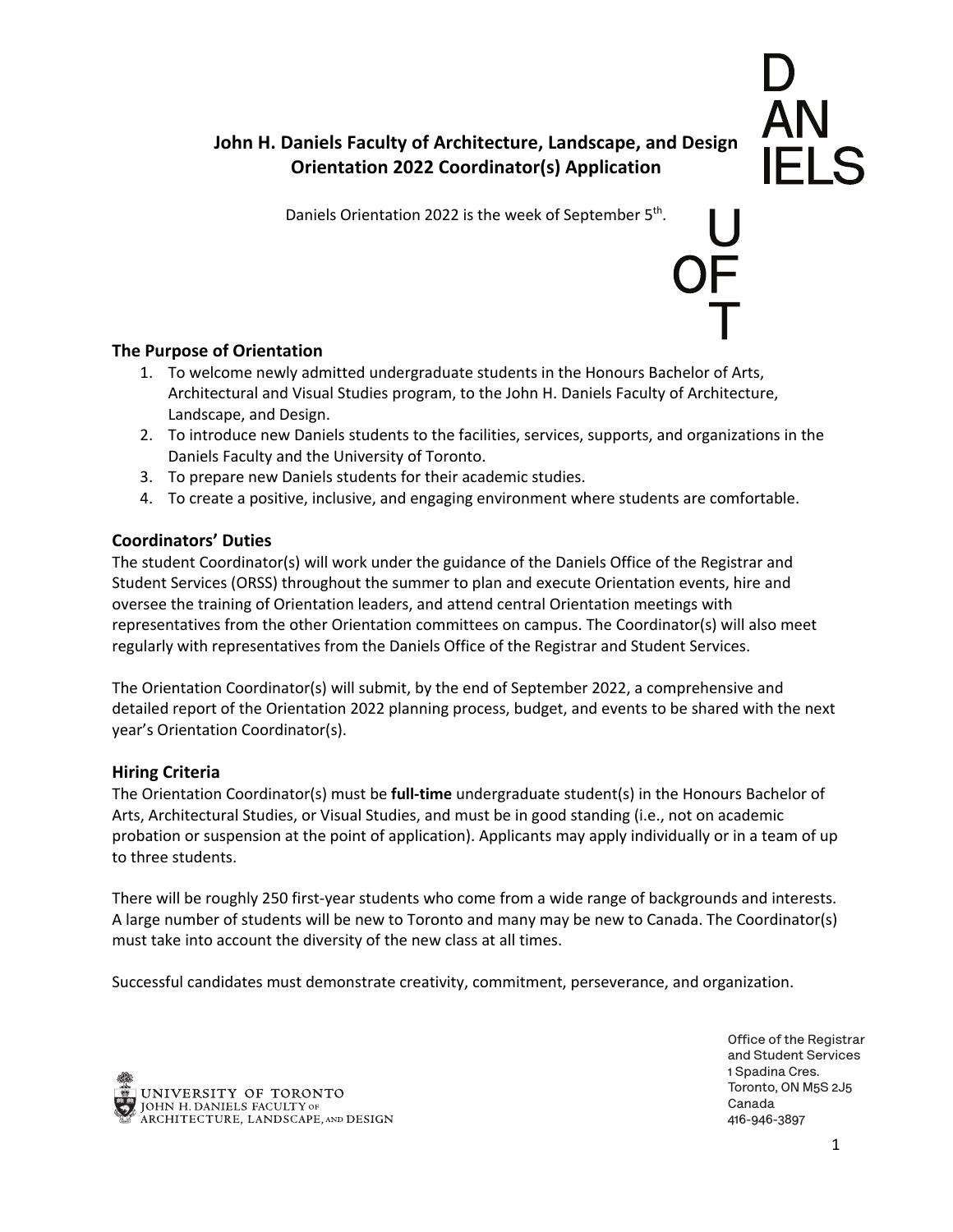# ĀN<br>IFI S

# **John H. Daniels Faculty of Architecture, Landscape, and Design Orientation 2022 Coordinator(s) Application**

Daniels Orientation 2022 is the week of September 5<sup>th</sup>.

## **The Purpose of Orientation**

- 1. To welcome newly admitted undergraduate students in the Honours Bachelor of Arts, Architectural and Visual Studies program, to the John H. Daniels Faculty of Architecture, Landscape, and Design.
- 2. To introduce new Daniels students to the facilities, services, supports, and organizations in the Daniels Faculty and the University of Toronto.
- 3. To prepare new Daniels students for their academic studies.
- 4. To create a positive, inclusive, and engaging environment where students are comfortable.

#### **Coordinators' Duties**

The student Coordinator(s) will work under the guidance of the Daniels Office of the Registrar and Student Services (ORSS) throughout the summer to plan and execute Orientation events, hire and oversee the training of Orientation leaders, and attend central Orientation meetings with representatives from the other Orientation committees on campus. The Coordinator(s) will also meet regularly with representatives from the Daniels Office of the Registrar and Student Services.

The Orientation Coordinator(s) will submit, by the end of September 2022, a comprehensive and detailed report of the Orientation 2022 planning process, budget, and events to be shared with the next year's Orientation Coordinator(s).

#### **Hiring Criteria**

The Orientation Coordinator(s) must be **full-time** undergraduate student(s) in the Honours Bachelor of Arts, Architectural Studies, or Visual Studies, and must be in good standing (i.e., not on academic probation or suspension at the point of application). Applicants may apply individually or in a team of up to three students.

There will be roughly 250 first-year students who come from a wide range of backgrounds and interests. A large number of students will be new to Toronto and many may be new to Canada. The Coordinator(s) must take into account the diversity of the new class at all times.

Successful candidates must demonstrate creativity, commitment, perseverance, and organization.



**Of!ce of the Registrar and Student Services 1 Spadina Cres. Toronto, ON M5S 2J5 Canada 416-946-3897**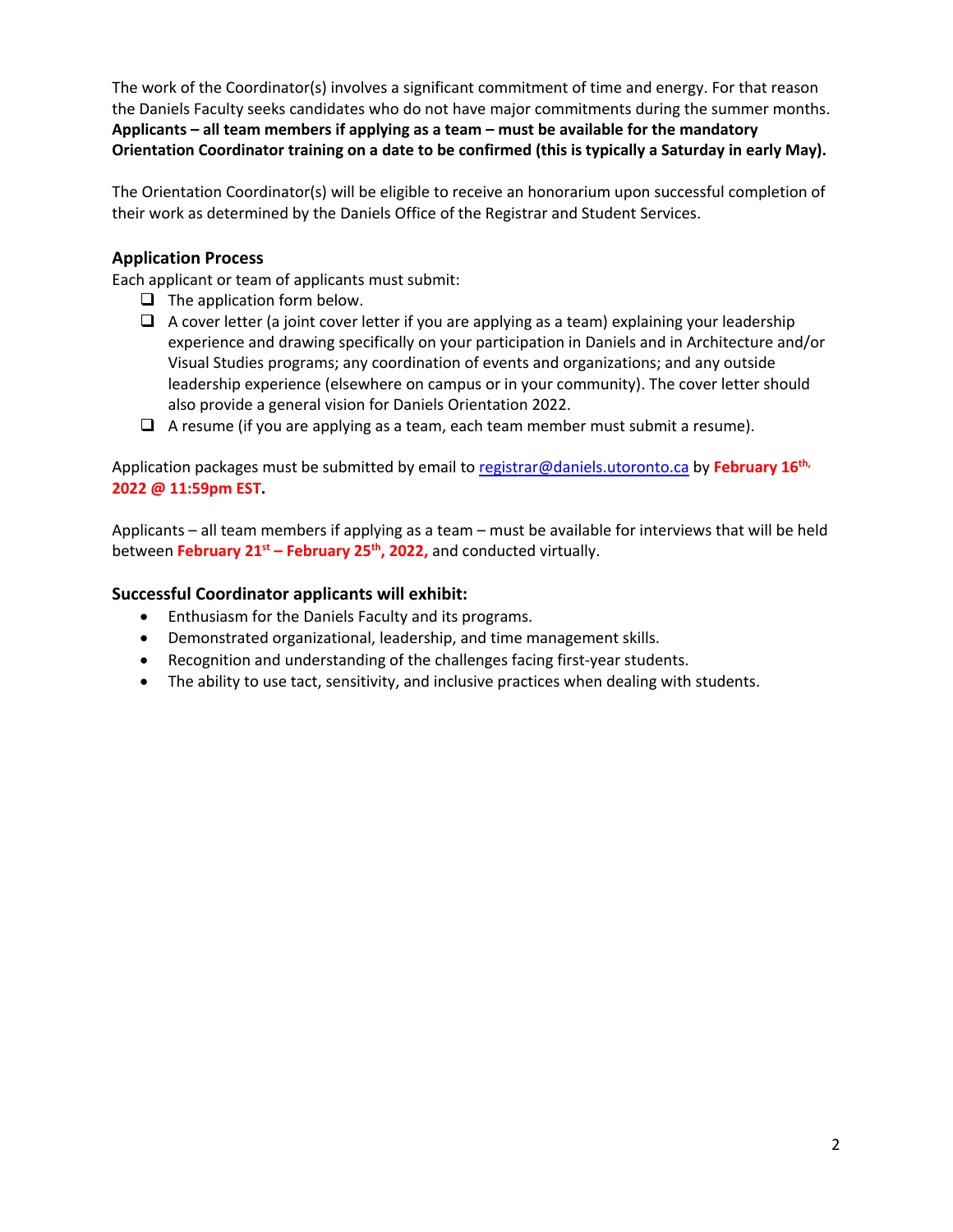The work of the Coordinator(s) involves a significant commitment of time and energy. For that reason the Daniels Faculty seeks candidates who do not have major commitments during the summer months. **Applicants – all team members if applying as a team – must be available for the mandatory Orientation Coordinator training on a date to be confirmed (this is typically a Saturday in early May).** 

The Orientation Coordinator(s) will be eligible to receive an honorarium upon successful completion of their work as determined by the Daniels Office of the Registrar and Student Services.

## **Application Process**

Each applicant or team of applicants must submit:

- $\Box$  The application form below.
- $\Box$  A cover letter (a joint cover letter if you are applying as a team) explaining your leadership experience and drawing specifically on your participation in Daniels and in Architecture and/or Visual Studies programs; any coordination of events and organizations; and any outside leadership experience (elsewhere on campus or in your community). The cover letter should also provide a general vision for Daniels Orientation 2022.
- $\Box$  A resume (if you are applying as a team, each team member must submit a resume).

Application packages must be submitted by email to registrar@daniels.utoronto.ca by **February 16th, 2022 @ 11:59pm EST.**

Applicants – all team members if applying as a team – must be available for interviews that will be held between **February 21st – February 25th, 2022,** and conducted virtually.

#### **Successful Coordinator applicants will exhibit:**

- Enthusiasm for the Daniels Faculty and its programs.
- Demonstrated organizational, leadership, and time management skills.
- Recognition and understanding of the challenges facing first-year students.
- The ability to use tact, sensitivity, and inclusive practices when dealing with students.